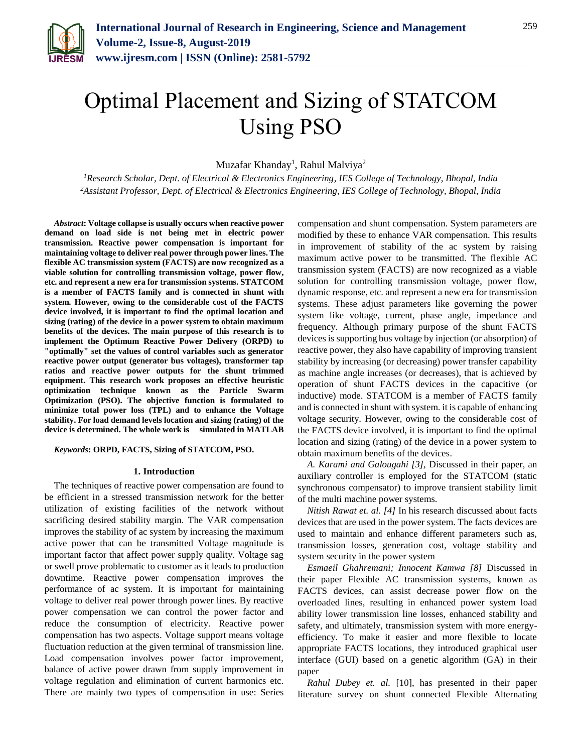

# Optimal Placement and Sizing of STATCOM Using PSO

Muzafar Khanday<sup>1</sup>, Rahul Malviya<sup>2</sup>

*<sup>1</sup>Research Scholar, Dept. of Electrical & Electronics Engineering, IES College of Technology, Bhopal, India 2Assistant Professor, Dept. of Electrical & Electronics Engineering, IES College of Technology, Bhopal, India*

*Abstract***: Voltage collapse is usually occurs when reactive power demand on load side is not being met in electric power transmission. Reactive power compensation is important for maintaining voltage to deliver real power through power lines. The flexible AC transmission system (FACTS) are now recognized as a viable solution for controlling transmission voltage, power flow, etc. and represent a new era for transmission systems. STATCOM is a member of FACTS family and is connected in shunt with system. However, owing to the considerable cost of the FACTS device involved, it is important to find the optimal location and sizing (rating) of the device in a power system to obtain maximum benefits of the devices. The main purpose of this research is to implement the Optimum Reactive Power Delivery (ORPD) to "optimally" set the values of control variables such as generator reactive power output (generator bus voltages), transformer tap ratios and reactive power outputs for the shunt trimmed equipment. This research work proposes an effective heuristic optimization technique known as the Particle Swarm Optimization (PSO). The objective function is formulated to minimize total power loss (TPL) and to enhance the Voltage stability. For load demand levels location and sizing (rating) of the device is determined. The whole work is simulated in MATLAB**

# *Keywords***: ORPD, FACTS, Sizing of STATCOM, PSO.**

#### **1. Introduction**

The techniques of reactive power compensation are found to be efficient in a stressed transmission network for the better utilization of existing facilities of the network without sacrificing desired stability margin. The VAR compensation improves the stability of ac system by increasing the maximum active power that can be transmitted Voltage magnitude is important factor that affect power supply quality. Voltage sag or swell prove problematic to customer as it leads to production downtime. Reactive power compensation improves the performance of ac system. It is important for maintaining voltage to deliver real power through power lines. By reactive power compensation we can control the power factor and reduce the consumption of electricity. Reactive power compensation has two aspects. Voltage support means voltage fluctuation reduction at the given terminal of transmission line. Load compensation involves power factor improvement, balance of active power drawn from supply improvement in voltage regulation and elimination of current harmonics etc. There are mainly two types of compensation in use: Series

compensation and shunt compensation. System parameters are modified by these to enhance VAR compensation. This results in improvement of stability of the ac system by raising maximum active power to be transmitted. The flexible AC transmission system (FACTS) are now recognized as a viable solution for controlling transmission voltage, power flow, dynamic response, etc. and represent a new era for transmission systems. These adjust parameters like governing the power system like voltage, current, phase angle, impedance and frequency. Although primary purpose of the shunt FACTS devices is supporting bus voltage by injection (or absorption) of reactive power, they also have capability of improving transient stability by increasing (or decreasing) power transfer capability as machine angle increases (or decreases), that is achieved by operation of shunt FACTS devices in the capacitive (or inductive) mode. STATCOM is a member of FACTS family and is connected in shunt with system. it is capable of enhancing voltage security. However, owing to the considerable cost of the FACTS device involved, it is important to find the optimal location and sizing (rating) of the device in a power system to obtain maximum benefits of the devices.

*A. Karami and Galougahi [3],* Discussed in their paper, an auxiliary controller is employed for the STATCOM (static synchronous compensator) to improve transient stability limit of the multi machine power systems.

*Nitish Rawat et. al. [4]* In his research discussed about facts devices that are used in the power system. The facts devices are used to maintain and enhance different parameters such as, transmission losses, generation cost, voltage stability and system security in the power system

*Esmaeil Ghahremani; Innocent Kamwa [8]* Discussed in their paper Flexible AC transmission systems, known as FACTS devices, can assist decrease power flow on the overloaded lines, resulting in enhanced power system load ability lower transmission line losses, enhanced stability and safety, and ultimately, transmission system with more energyefficiency. To make it easier and more flexible to locate appropriate FACTS locations, they introduced graphical user interface (GUI) based on a genetic algorithm (GA) in their paper

*Rahul Dubey et. al.* [10], has presented in their paper literature survey on shunt connected Flexible Alternating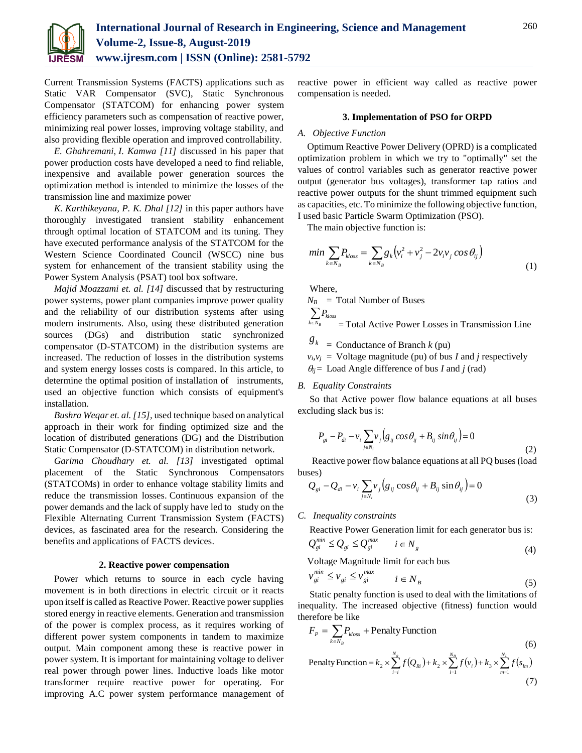

Current Transmission Systems (FACTS) applications such as Static VAR Compensator (SVC), Static Synchronous Compensator (STATCOM) for enhancing power system efficiency parameters such as compensation of reactive power, minimizing real power losses, improving voltage stability, and also providing flexible operation and improved controllability.

*E. Ghahremani, I. Kamwa [11]* discussed in his paper that power production costs have developed a need to find reliable, inexpensive and available power generation sources the optimization method is intended to minimize the losses of the transmission line and maximize power

*K. Karthikeyana, P. K. Dhal [12]* in this paper authors have thoroughly investigated transient stability enhancement through optimal location of STATCOM and its tuning. They have executed performance analysis of the STATCOM for the Western Science Coordinated Council (WSCC) nine bus system for enhancement of the transient stability using the Power System Analysis (PSAT) tool box software.

*Majid Moazzami et. al. [14]* discussed that by restructuring power systems, power plant companies improve power quality and the reliability of our distribution systems after using modern instruments. Also, using these distributed generation sources (DGs) and distribution static synchronized compensator (D-STATCOM) in the distribution systems are increased. The reduction of losses in the distribution systems and system energy losses costs is compared. In this article, to determine the optimal position of installation of instruments, used an objective function which consists of equipment's installation.

*Bushra Weqar et. al. [15],* used technique based on analytical approach in their work for finding optimized size and the location of distributed generations (DG) and the Distribution Static Compensator (D-STATCOM) in distribution network.

*Garima Choudhary et. al. [13]* investigated optimal placement of the Static Synchronous Compensators (STATCOMs) in order to enhance voltage stability limits and reduce the transmission losses. Continuous expansion of the power demands and the lack of supply have led to study on the Flexible Alternating Current Transmission System (FACTS) devices, as fascinated area for the research. Considering the benefits and applications of FACTS devices.

# **2. Reactive power compensation**

Power which returns to source in each cycle having movement is in both directions in electric circuit or it reacts upon itself is called as Reactive Power. Reactive power supplies stored energy in reactive elements. Generation and transmission of the power is complex process, as it requires working of different power system components in tandem to maximize output. Main component among these is reactive power in power system. It is important for maintaining voltage to deliver real power through power lines. Inductive loads like motor transformer require reactive power for operating. For improving A.C power system performance management of reactive power in efficient way called as reactive power compensation is needed.

## **3. Implementation of PSO for ORPD**

#### *A. Objective Function*

Optimum Reactive Power Delivery (OPRD) is a complicated optimization problem in which we try to "optimally" set the values of control variables such as generator reactive power output (generator bus voltages), transformer tap ratios and reactive power outputs for the shunt trimmed equipment such as capacities, etc. To minimize the following objective function, I used basic Particle Swarm Optimization (PSO).

The main objective function is:

$$
min \sum_{k \in N_B} P_{\text{loss}} = \sum_{k \in N_B} g_k \left( v_i^2 + v_j^2 - 2v_i v_j \cos \theta_{ij} \right)
$$
\n<sup>(1)</sup>

Where,

 $N_B$  = Total Number of Buses  $\sum P_{\scriptsize{loss}}$ 

$$
^{k \in N_B} = \text{Total Active Power Losses in Transmission Line}
$$

- $\mathcal{S}_k$  = Conductance of Branch *k* (pu)
- $v_i v_j$  = Voltage magnitude (pu) of bus *I* and *j* respectively
- $\theta_{ij}$  = Load Angle difference of bus *I* and *j* (rad)

# *B. Equality Constraints*

So that Active power flow balance equations at all buses excluding slack bus is:

$$
P_{gi} - P_{di} - v_i \sum_{j \in N_i} v_j \left( g_{ij} \cos \theta_{ij} + B_{ij} \sin \theta_{ij} \right) = 0
$$
\n(2)

 Reactive power flow balance equations at all PQ buses (load buses)

$$
Q_{gi} - Q_{di} - v_i \sum_{j \in N_i} v_j \left( g_{ij} \cos \theta_{ij} + B_{ij} \sin \theta_{ij} \right) = 0
$$
\n(3)

*C. Inequality constraints*

Reactive Power Generation limit for each generator bus is:

$$
Q_{gi}^{min} \le Q_{gi} \le Q_{gi}^{max} \qquad i \in N_g
$$
\n<sup>(4)</sup>

Voltage Magnitude limit for each bus

$$
v_{gi}^{min} \le v_{gi} \le v_{gi}^{max} \qquad i \in N_B
$$
 (5)

Static penalty function is used to deal with the limitations of inequality. The increased objective (fitness) function would therefore be like

$$
F_P = \sum_{k \in N_B} P_{kloss} + \text{Penalty Function}
$$
\n(6)

Penalty Function = 
$$
k_2 \times \sum_{i=1}^{N_g} f(Q_{Ri}) + k_2 \times \sum_{i=1}^{N_g} f(v_i) + k_3 \times \sum_{m=1}^{N_L} f(s_{lm})
$$
 (7)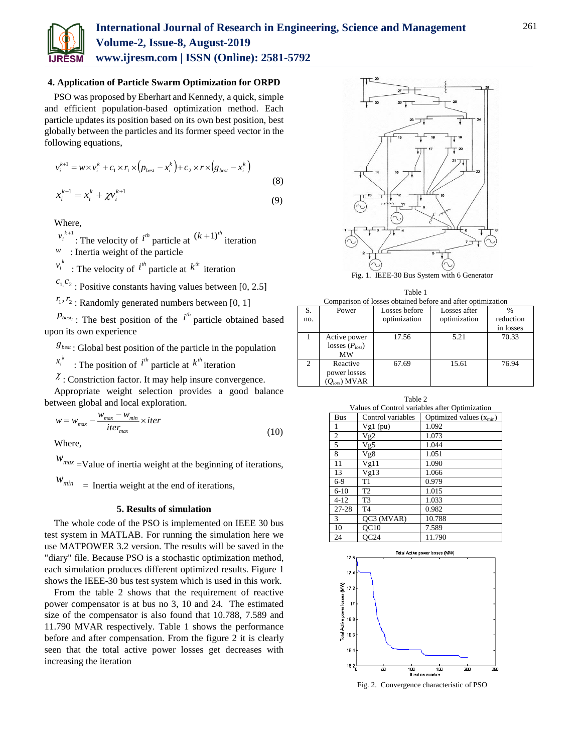

## **4. Application of Particle Swarm Optimization for ORPD**

PSO was proposed by Eberhart and Kennedy, a quick, simple and efficient population-based optimization method. Each particle updates its position based on its own best position, best globally between the particles and its former speed vector in the following equations,

$$
v_i^{k+1} = w \times v_i^k + c_1 \times r_1 \times (p_{best} - x_i^k) + c_2 \times r \times (g_{best} - x_i^k)
$$
  

$$
x_i^{k+1} = x_i^k + \gamma v_i^{k+1}
$$
 (8)

$$
x_i^{k+1} = x_i^k + \chi v_i^{k+1}
$$
\n<sup>(9)</sup>

Where,

 $v_i^{k+1}$ : The velocity of  $i^{th}$  particle at  $(k+1)^{th}$  iteration *w* : Inertia weight of the particle

 $v_i^k$ : The velocity of  $i^{th}$  particle at  $k^{th}$  iteration

 $c_1, c_2$ : Positive constants having values between [0, 2.5]

 $r_1, r_2$ : Randomly generated numbers between [0, 1]

 $P_{best_i}$ : The best position of the  $i^{th}$  particle obtained based upon its own experience

 $g_{\text{best}}$ : Global best position of the particle in the population

 $x_i^k$ : The position of  $i^h$  particle at  $k^h$  iteration

 $\chi$ : Constriction factor. It may help insure convergence.

Appropriate weight selection provides a good balance between global and local exploration.

$$
w = w_{max} - \frac{w_{max} - w_{min}}{iter_{max}} \times iter
$$
\n(10)

Where,

 $W_{max}$  =Value of inertia weight at the beginning of iterations,

 $W_{min}$  = Inertia weight at the end of iterations,

# **5. Results of simulation**

The whole code of the PSO is implemented on IEEE 30 bus test system in MATLAB. For running the simulation here we use MATPOWER 3.2 version. The results will be saved in the "diary" file. Because PSO is a stochastic optimization method, each simulation produces different optimized results. Figure 1 shows the IEEE-30 bus test system which is used in this work.

From the table 2 shows that the requirement of reactive power compensator is at bus no 3, 10 and 24. The estimated size of the compensator is also found that 10.788, 7.589 and 11.790 MVAR respectively. Table 1 shows the performance before and after compensation. From the figure 2 it is clearly seen that the total active power losses get decreases with increasing the iteration



Fig. 1. IEEE-30 Bus System with 6 Generator

| Table 1                                                     |  |  |  |  |
|-------------------------------------------------------------|--|--|--|--|
| Comparison of losses obtained before and after optimization |  |  |  |  |

| Comparison of losses obtained before and after obtminzation |                     |               |              |           |  |
|-------------------------------------------------------------|---------------------|---------------|--------------|-----------|--|
| S.                                                          | Power               | Losses before | Losses after |           |  |
| no.                                                         |                     | optimization  | optimization | reduction |  |
|                                                             |                     |               |              | in losses |  |
|                                                             | Active power        | 17.56         | 5.21         | 70.33     |  |
|                                                             | losses $(P_{loss})$ |               |              |           |  |
|                                                             | MW                  |               |              |           |  |
| 2                                                           | Reactive            | 67.69         | 15.61        | 76.94     |  |
|                                                             | power losses        |               |              |           |  |
|                                                             | $(Q_{loss})$ MVAR   |               |              |           |  |

Table 2 Values of Control variables after Optimization Bus Control variables Optimized values  $(x_{\text{min}})$ Vg1 (pu) 1.092 2 | Vg2 | 1.073 5 Vg5 1.044 8 | Vg8 | 1.051 11 Vg11 1.090 13 Vg13 1.066 6-9 T1 0.979 6-10 T2 1.015 4-12 T3 1.033 27-28 T4 0.982 3 QC3 (MVAR) 10.788 10 QC10 7.589

24 QC24 11.790



Fig. 2. Convergence characteristic of PSO